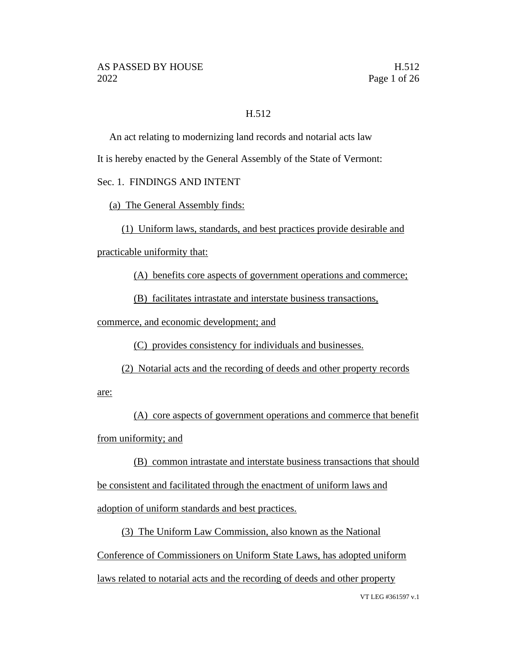### H.512

An act relating to modernizing land records and notarial acts law

It is hereby enacted by the General Assembly of the State of Vermont:

## Sec. 1. FINDINGS AND INTENT

(a) The General Assembly finds:

(1) Uniform laws, standards, and best practices provide desirable and

practicable uniformity that:

(A) benefits core aspects of government operations and commerce;

(B) facilitates intrastate and interstate business transactions,

commerce, and economic development; and

(C) provides consistency for individuals and businesses.

(2) Notarial acts and the recording of deeds and other property records

are:

(A) core aspects of government operations and commerce that benefit from uniformity; and

(B) common intrastate and interstate business transactions that should be consistent and facilitated through the enactment of uniform laws and adoption of uniform standards and best practices.

(3) The Uniform Law Commission, also known as the National Conference of Commissioners on Uniform State Laws, has adopted uniform laws related to notarial acts and the recording of deeds and other property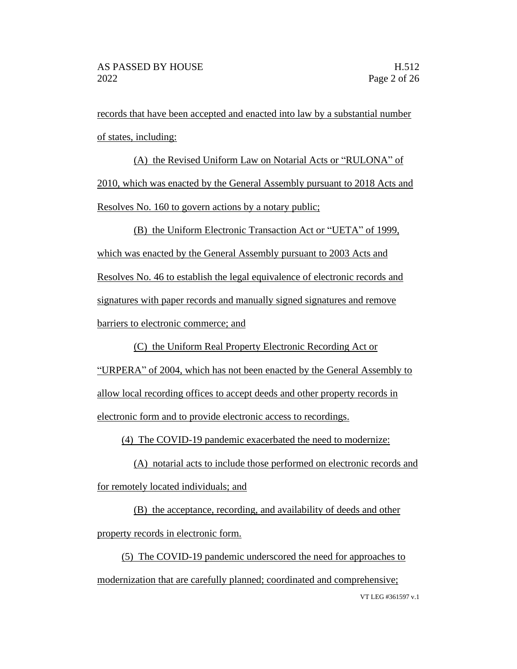records that have been accepted and enacted into law by a substantial number of states, including:

(A) the Revised Uniform Law on Notarial Acts or "RULONA" of 2010, which was enacted by the General Assembly pursuant to 2018 Acts and Resolves No. 160 to govern actions by a notary public;

(B) the Uniform Electronic Transaction Act or "UETA" of 1999, which was enacted by the General Assembly pursuant to 2003 Acts and Resolves No. 46 to establish the legal equivalence of electronic records and signatures with paper records and manually signed signatures and remove barriers to electronic commerce; and

(C) the Uniform Real Property Electronic Recording Act or "URPERA" of 2004, which has not been enacted by the General Assembly to allow local recording offices to accept deeds and other property records in electronic form and to provide electronic access to recordings.

(4) The COVID-19 pandemic exacerbated the need to modernize:

(A) notarial acts to include those performed on electronic records and for remotely located individuals; and

(B) the acceptance, recording, and availability of deeds and other property records in electronic form.

VT LEG #361597 v.1 (5) The COVID-19 pandemic underscored the need for approaches to modernization that are carefully planned; coordinated and comprehensive;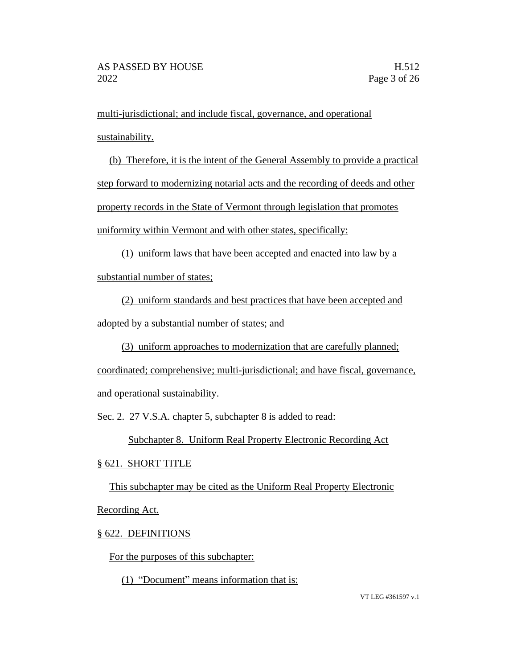multi-jurisdictional; and include fiscal, governance, and operational sustainability.

(b) Therefore, it is the intent of the General Assembly to provide a practical step forward to modernizing notarial acts and the recording of deeds and other property records in the State of Vermont through legislation that promotes uniformity within Vermont and with other states, specifically:

(1) uniform laws that have been accepted and enacted into law by a substantial number of states;

(2) uniform standards and best practices that have been accepted and adopted by a substantial number of states; and

(3) uniform approaches to modernization that are carefully planned; coordinated; comprehensive; multi-jurisdictional; and have fiscal, governance, and operational sustainability.

Sec. 2. 27 V.S.A. chapter 5, subchapter 8 is added to read:

Subchapter 8. Uniform Real Property Electronic Recording Act

## § 621. SHORT TITLE

This subchapter may be cited as the Uniform Real Property Electronic Recording Act.

## § 622. DEFINITIONS

For the purposes of this subchapter:

(1) "Document" means information that is: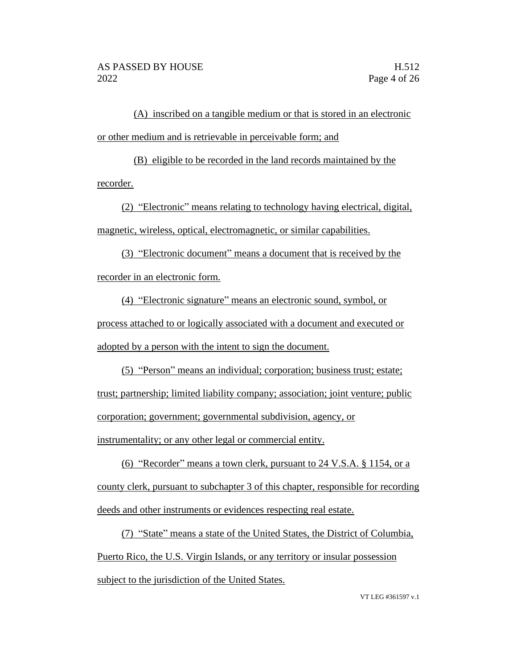(A) inscribed on a tangible medium or that is stored in an electronic or other medium and is retrievable in perceivable form; and

(B) eligible to be recorded in the land records maintained by the recorder.

(2) "Electronic" means relating to technology having electrical, digital, magnetic, wireless, optical, electromagnetic, or similar capabilities.

(3) "Electronic document" means a document that is received by the recorder in an electronic form.

(4) "Electronic signature" means an electronic sound, symbol, or process attached to or logically associated with a document and executed or adopted by a person with the intent to sign the document.

(5) "Person" means an individual; corporation; business trust; estate; trust; partnership; limited liability company; association; joint venture; public corporation; government; governmental subdivision, agency, or instrumentality; or any other legal or commercial entity.

(6) "Recorder" means a town clerk, pursuant to 24 V.S.A. § 1154, or a county clerk, pursuant to subchapter 3 of this chapter, responsible for recording deeds and other instruments or evidences respecting real estate.

(7) "State" means a state of the United States, the District of Columbia, Puerto Rico, the U.S. Virgin Islands, or any territory or insular possession subject to the jurisdiction of the United States.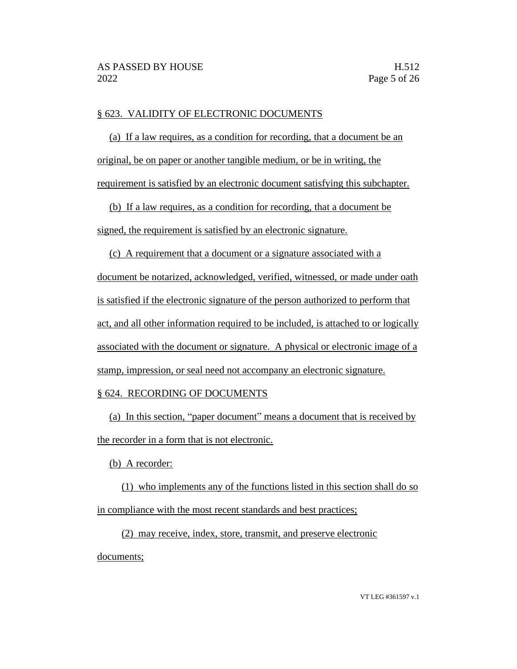### § 623. VALIDITY OF ELECTRONIC DOCUMENTS

(a) If a law requires, as a condition for recording, that a document be an original, be on paper or another tangible medium, or be in writing, the requirement is satisfied by an electronic document satisfying this subchapter.

(b) If a law requires, as a condition for recording, that a document be signed, the requirement is satisfied by an electronic signature.

(c) A requirement that a document or a signature associated with a document be notarized, acknowledged, verified, witnessed, or made under oath is satisfied if the electronic signature of the person authorized to perform that act, and all other information required to be included, is attached to or logically associated with the document or signature. A physical or electronic image of a stamp, impression, or seal need not accompany an electronic signature.

### § 624. RECORDING OF DOCUMENTS

(a) In this section, "paper document" means a document that is received by the recorder in a form that is not electronic.

(b) A recorder:

(1) who implements any of the functions listed in this section shall do so in compliance with the most recent standards and best practices;

(2) may receive, index, store, transmit, and preserve electronic documents;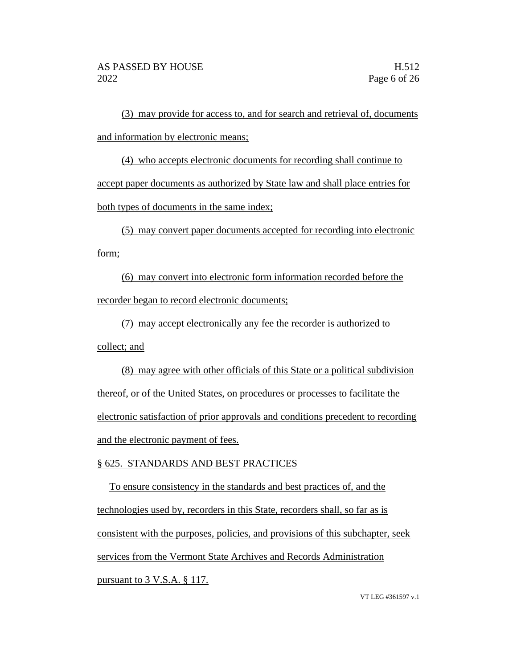(3) may provide for access to, and for search and retrieval of, documents and information by electronic means;

(4) who accepts electronic documents for recording shall continue to accept paper documents as authorized by State law and shall place entries for both types of documents in the same index;

(5) may convert paper documents accepted for recording into electronic form;

(6) may convert into electronic form information recorded before the recorder began to record electronic documents;

(7) may accept electronically any fee the recorder is authorized to collect; and

(8) may agree with other officials of this State or a political subdivision thereof, or of the United States, on procedures or processes to facilitate the electronic satisfaction of prior approvals and conditions precedent to recording and the electronic payment of fees.

## § 625. STANDARDS AND BEST PRACTICES

To ensure consistency in the standards and best practices of, and the technologies used by, recorders in this State, recorders shall, so far as is consistent with the purposes, policies, and provisions of this subchapter, seek services from the Vermont State Archives and Records Administration pursuant to 3 V.S.A. § 117.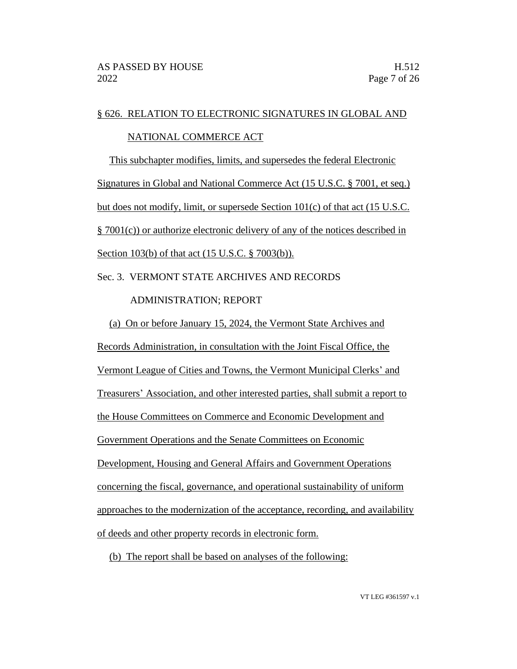## § 626. RELATION TO ELECTRONIC SIGNATURES IN GLOBAL AND

## NATIONAL COMMERCE ACT

This subchapter modifies, limits, and supersedes the federal Electronic Signatures in Global and National Commerce Act (15 U.S.C. § 7001, et seq.) but does not modify, limit, or supersede Section 101(c) of that act (15 U.S.C. § 7001(c)) or authorize electronic delivery of any of the notices described in Section 103(b) of that act (15 U.S.C. § 7003(b)).

Sec. 3. VERMONT STATE ARCHIVES AND RECORDS

## ADMINISTRATION; REPORT

(a) On or before January 15, 2024, the Vermont State Archives and Records Administration, in consultation with the Joint Fiscal Office, the Vermont League of Cities and Towns, the Vermont Municipal Clerks' and Treasurers' Association, and other interested parties, shall submit a report to the House Committees on Commerce and Economic Development and Government Operations and the Senate Committees on Economic Development, Housing and General Affairs and Government Operations concerning the fiscal, governance, and operational sustainability of uniform approaches to the modernization of the acceptance, recording, and availability of deeds and other property records in electronic form.

(b) The report shall be based on analyses of the following: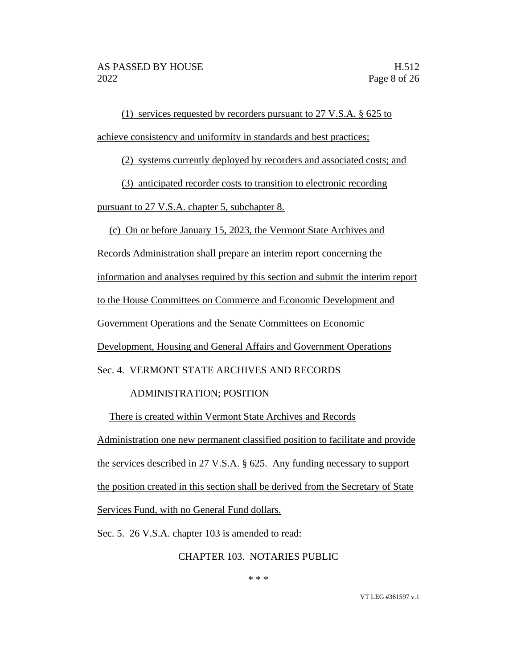(1) services requested by recorders pursuant to 27 V.S.A. § 625 to achieve consistency and uniformity in standards and best practices;

(2) systems currently deployed by recorders and associated costs; and

(3) anticipated recorder costs to transition to electronic recording

pursuant to 27 V.S.A. chapter 5, subchapter 8.

(c) On or before January 15, 2023, the Vermont State Archives and

Records Administration shall prepare an interim report concerning the

information and analyses required by this section and submit the interim report

to the House Committees on Commerce and Economic Development and

Government Operations and the Senate Committees on Economic

Development, Housing and General Affairs and Government Operations

Sec. 4. VERMONT STATE ARCHIVES AND RECORDS

## ADMINISTRATION; POSITION

There is created within Vermont State Archives and Records

Administration one new permanent classified position to facilitate and provide the services described in 27 V.S.A. § 625. Any funding necessary to support the position created in this section shall be derived from the Secretary of State Services Fund, with no General Fund dollars.

Sec. 5. 26 V.S.A. chapter 103 is amended to read:

CHAPTER 103. NOTARIES PUBLIC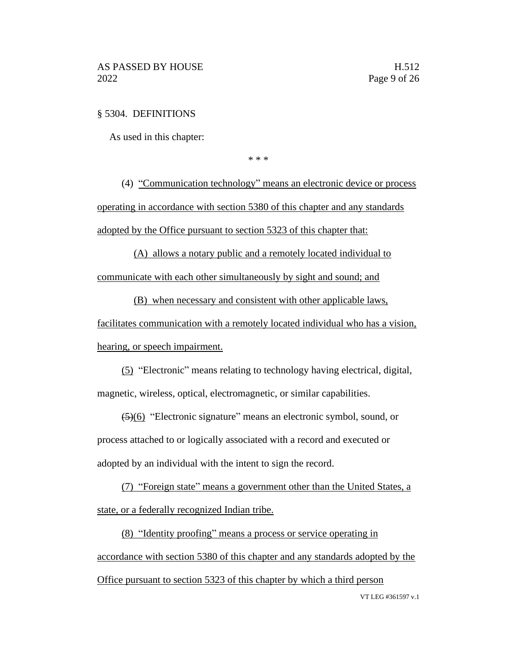### § 5304. DEFINITIONS

As used in this chapter:

\* \* \*

(4) "Communication technology" means an electronic device or process operating in accordance with section 5380 of this chapter and any standards adopted by the Office pursuant to section 5323 of this chapter that:

(A) allows a notary public and a remotely located individual to communicate with each other simultaneously by sight and sound; and

(B) when necessary and consistent with other applicable laws,

facilitates communication with a remotely located individual who has a vision, hearing, or speech impairment.

(5) "Electronic" means relating to technology having electrical, digital, magnetic, wireless, optical, electromagnetic, or similar capabilities.

(5)(6) "Electronic signature" means an electronic symbol, sound, or process attached to or logically associated with a record and executed or adopted by an individual with the intent to sign the record.

(7) "Foreign state" means a government other than the United States, a state, or a federally recognized Indian tribe.

(8) "Identity proofing" means a process or service operating in accordance with section 5380 of this chapter and any standards adopted by the Office pursuant to section 5323 of this chapter by which a third person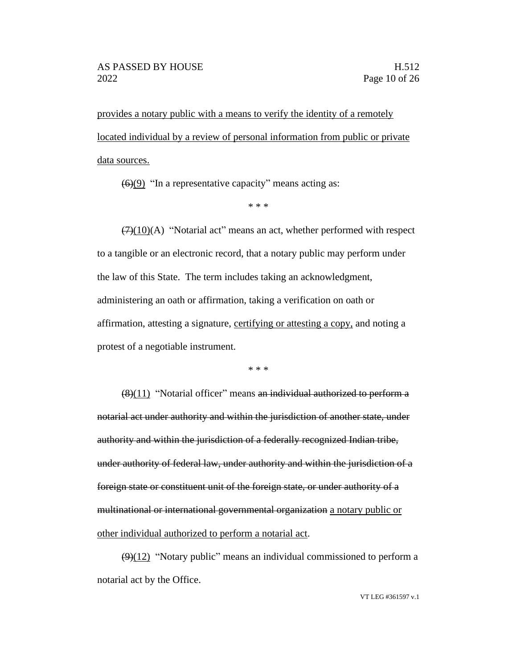provides a notary public with a means to verify the identity of a remotely located individual by a review of personal information from public or private data sources.

 $\left(\frac{6}{9}\right)$  "In a representative capacity" means acting as:

\* \* \*

 $(7)(10)(A)$  "Notarial act" means an act, whether performed with respect to a tangible or an electronic record, that a notary public may perform under the law of this State. The term includes taking an acknowledgment, administering an oath or affirmation, taking a verification on oath or affirmation, attesting a signature, certifying or attesting a copy, and noting a protest of a negotiable instrument.

\* \* \*

(8)(11) "Notarial officer" means an individual authorized to perform a notarial act under authority and within the jurisdiction of another state, under authority and within the jurisdiction of a federally recognized Indian tribe, under authority of federal law, under authority and within the jurisdiction of a foreign state or constituent unit of the foreign state, or under authority of a multinational or international governmental organization a notary public or other individual authorized to perform a notarial act.

 $\left(\frac{9}{12}\right)$  "Notary public" means an individual commissioned to perform a notarial act by the Office.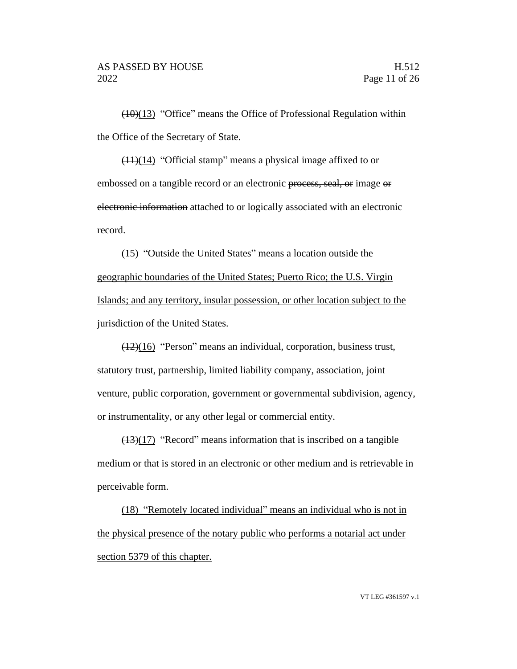$(10)(13)$  "Office" means the Office of Professional Regulation within the Office of the Secretary of State.

(11)(14) "Official stamp" means a physical image affixed to or embossed on a tangible record or an electronic process, seal, or image or electronic information attached to or logically associated with an electronic record.

(15) "Outside the United States" means a location outside the geographic boundaries of the United States; Puerto Rico; the U.S. Virgin Islands; and any territory, insular possession, or other location subject to the jurisdiction of the United States.

(12)(16) "Person" means an individual, corporation, business trust, statutory trust, partnership, limited liability company, association, joint venture, public corporation, government or governmental subdivision, agency, or instrumentality, or any other legal or commercial entity.

 $(13)(17)$  "Record" means information that is inscribed on a tangible medium or that is stored in an electronic or other medium and is retrievable in perceivable form.

(18) "Remotely located individual" means an individual who is not in the physical presence of the notary public who performs a notarial act under section 5379 of this chapter.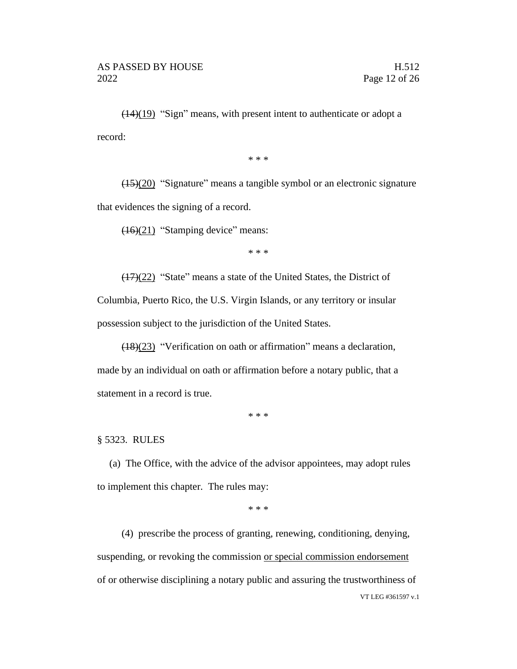$\left(\frac{(14)(19)}{2}\right)$  "Sign" means, with present intent to authenticate or adopt a record:

\* \* \*

(15)(20) "Signature" means a tangible symbol or an electronic signature that evidences the signing of a record.

(16)(21) "Stamping device" means:

\* \* \*

(17)(22) "State" means a state of the United States, the District of Columbia, Puerto Rico, the U.S. Virgin Islands, or any territory or insular possession subject to the jurisdiction of the United States.

(18)(23) "Verification on oath or affirmation" means a declaration, made by an individual on oath or affirmation before a notary public, that a statement in a record is true.

\* \* \*

§ 5323. RULES

(a) The Office, with the advice of the advisor appointees, may adopt rules to implement this chapter. The rules may:

\* \* \*

VT LEG #361597 v.1 (4) prescribe the process of granting, renewing, conditioning, denying, suspending, or revoking the commission or special commission endorsement of or otherwise disciplining a notary public and assuring the trustworthiness of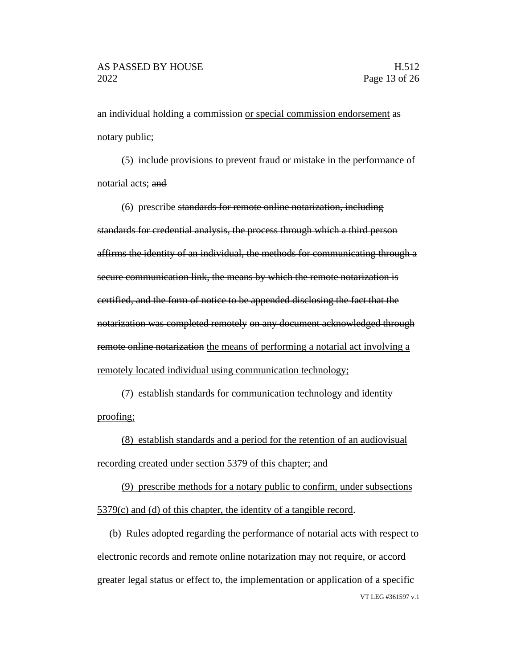an individual holding a commission or special commission endorsement as notary public;

(5) include provisions to prevent fraud or mistake in the performance of notarial acts; and

(6) prescribe standards for remote online notarization, including standards for credential analysis, the process through which a third person affirms the identity of an individual, the methods for communicating through a secure communication link, the means by which the remote notarization is certified, and the form of notice to be appended disclosing the fact that the notarization was completed remotely on any document acknowledged through remote online notarization the means of performing a notarial act involving a remotely located individual using communication technology;

(7) establish standards for communication technology and identity proofing;

(8) establish standards and a period for the retention of an audiovisual recording created under section 5379 of this chapter; and

(9) prescribe methods for a notary public to confirm, under subsections 5379(c) and (d) of this chapter, the identity of a tangible record.

VT LEG #361597 v.1 (b) Rules adopted regarding the performance of notarial acts with respect to electronic records and remote online notarization may not require, or accord greater legal status or effect to, the implementation or application of a specific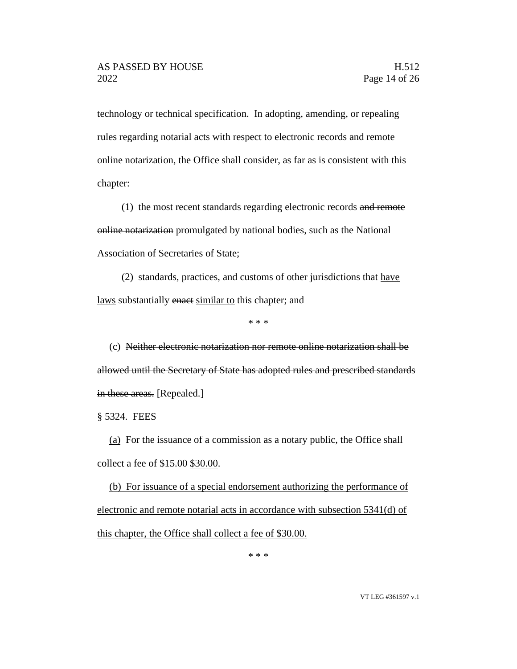technology or technical specification. In adopting, amending, or repealing rules regarding notarial acts with respect to electronic records and remote online notarization, the Office shall consider, as far as is consistent with this chapter:

(1) the most recent standards regarding electronic records and remote online notarization promulgated by national bodies, such as the National Association of Secretaries of State;

(2) standards, practices, and customs of other jurisdictions that have laws substantially enact similar to this chapter; and

\* \* \*

(c) Neither electronic notarization nor remote online notarization shall be allowed until the Secretary of State has adopted rules and prescribed standards in these areas. [Repealed.]

§ 5324. FEES

(a) For the issuance of a commission as a notary public, the Office shall collect a fee of \$15.00 \$30.00.

(b) For issuance of a special endorsement authorizing the performance of electronic and remote notarial acts in accordance with subsection 5341(d) of this chapter, the Office shall collect a fee of \$30.00.

\* \* \*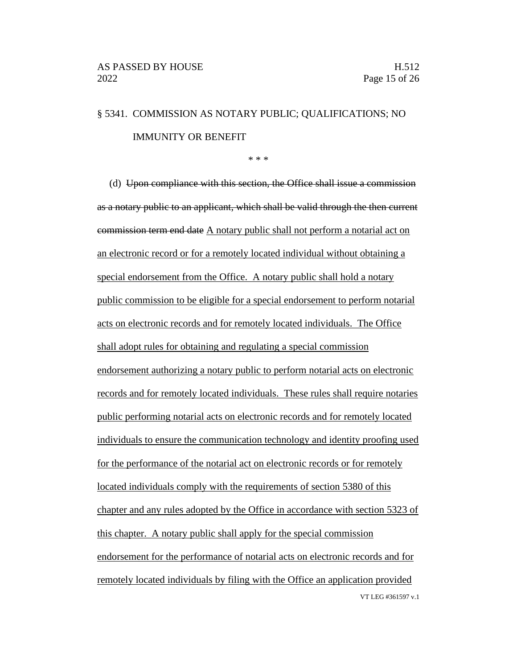# § 5341. COMMISSION AS NOTARY PUBLIC; QUALIFICATIONS; NO IMMUNITY OR BENEFIT

\* \* \*

VT LEG #361597 v.1 (d) Upon compliance with this section, the Office shall issue a commission as a notary public to an applicant, which shall be valid through the then current commission term end date A notary public shall not perform a notarial act on an electronic record or for a remotely located individual without obtaining a special endorsement from the Office. A notary public shall hold a notary public commission to be eligible for a special endorsement to perform notarial acts on electronic records and for remotely located individuals. The Office shall adopt rules for obtaining and regulating a special commission endorsement authorizing a notary public to perform notarial acts on electronic records and for remotely located individuals. These rules shall require notaries public performing notarial acts on electronic records and for remotely located individuals to ensure the communication technology and identity proofing used for the performance of the notarial act on electronic records or for remotely located individuals comply with the requirements of section 5380 of this chapter and any rules adopted by the Office in accordance with section 5323 of this chapter. A notary public shall apply for the special commission endorsement for the performance of notarial acts on electronic records and for remotely located individuals by filing with the Office an application provided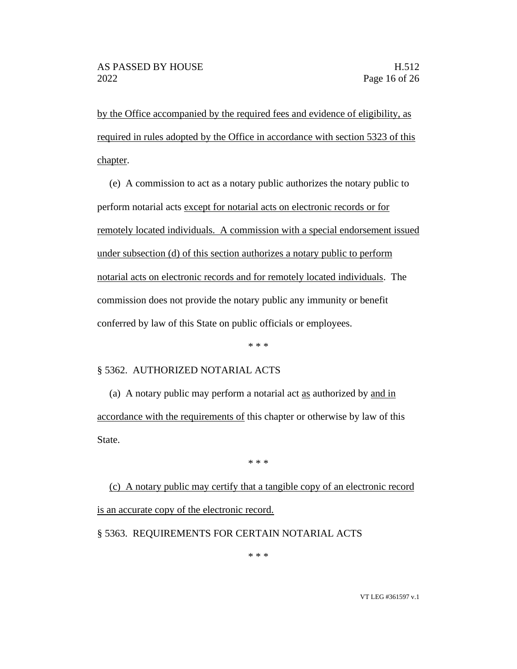by the Office accompanied by the required fees and evidence of eligibility, as required in rules adopted by the Office in accordance with section 5323 of this chapter.

(e) A commission to act as a notary public authorizes the notary public to perform notarial acts except for notarial acts on electronic records or for remotely located individuals. A commission with a special endorsement issued under subsection (d) of this section authorizes a notary public to perform notarial acts on electronic records and for remotely located individuals. The commission does not provide the notary public any immunity or benefit conferred by law of this State on public officials or employees.

\* \* \*

### § 5362. AUTHORIZED NOTARIAL ACTS

(a) A notary public may perform a notarial act as authorized by and in accordance with the requirements of this chapter or otherwise by law of this State.

\* \* \*

(c) A notary public may certify that a tangible copy of an electronic record is an accurate copy of the electronic record.

§ 5363. REQUIREMENTS FOR CERTAIN NOTARIAL ACTS

\* \* \*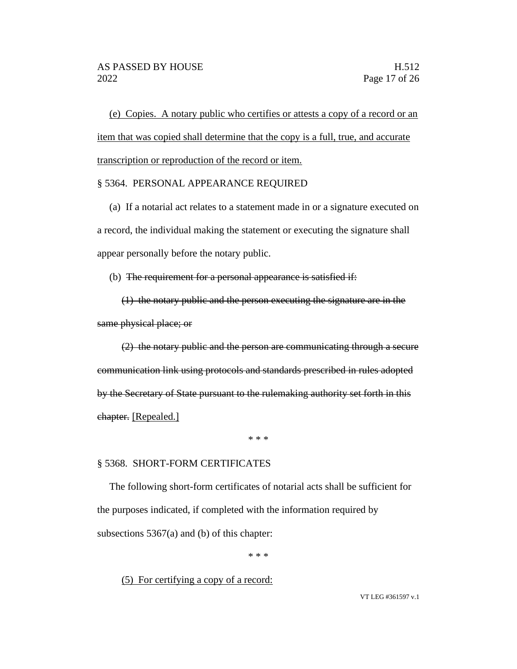(e) Copies. A notary public who certifies or attests a copy of a record or an item that was copied shall determine that the copy is a full, true, and accurate transcription or reproduction of the record or item.

### § 5364. PERSONAL APPEARANCE REQUIRED

(a) If a notarial act relates to a statement made in or a signature executed on a record, the individual making the statement or executing the signature shall appear personally before the notary public.

(b) The requirement for a personal appearance is satisfied if:

(1) the notary public and the person executing the signature are in the same physical place; or

(2) the notary public and the person are communicating through a secure communication link using protocols and standards prescribed in rules adopted by the Secretary of State pursuant to the rulemaking authority set forth in this chapter. [Repealed.]

\* \* \*

#### § 5368. SHORT-FORM CERTIFICATES

The following short-form certificates of notarial acts shall be sufficient for the purposes indicated, if completed with the information required by subsections 5367(a) and (b) of this chapter:

\* \* \*

(5) For certifying a copy of a record: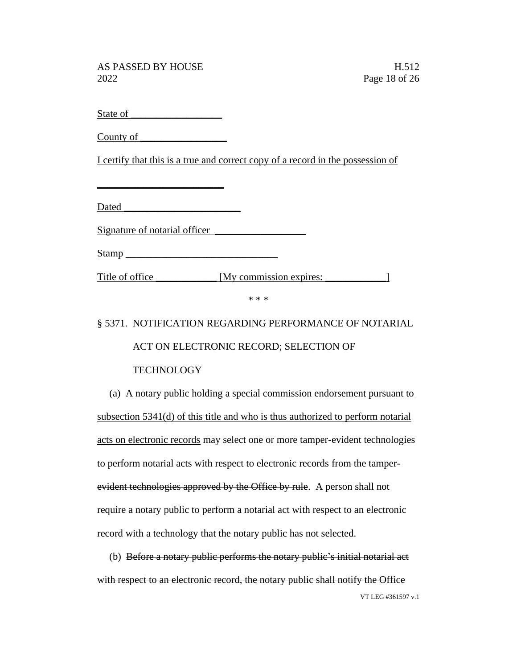State of

County of

I certify that this is a true and correct copy of a record in the possession of

Dated \_\_\_\_\_\_\_\_\_\_\_\_\_\_\_\_\_\_\_\_\_\_\_

 $\overline{\phantom{a}}$  , where  $\overline{\phantom{a}}$  , where  $\overline{\phantom{a}}$  , where  $\overline{\phantom{a}}$ 

Signature of notarial officer

Stamp \_\_\_\_\_\_\_\_\_\_\_\_\_\_\_\_\_\_\_\_\_\_\_\_\_\_\_\_\_\_

Title of office \_\_\_\_\_\_\_\_\_\_\_ [My commission expires: \_\_\_\_\_\_\_\_\_\_\_\_\_\_\_\_]

\* \* \*

## § 5371. NOTIFICATION REGARDING PERFORMANCE OF NOTARIAL

ACT ON ELECTRONIC RECORD; SELECTION OF

## **TECHNOLOGY**

(a) A notary public holding a special commission endorsement pursuant to subsection 5341(d) of this title and who is thus authorized to perform notarial acts on electronic records may select one or more tamper-evident technologies to perform notarial acts with respect to electronic records from the tamperevident technologies approved by the Office by rule. A person shall not require a notary public to perform a notarial act with respect to an electronic record with a technology that the notary public has not selected.

VT LEG #361597 v.1 (b) Before a notary public performs the notary public's initial notarial act with respect to an electronic record, the notary public shall notify the Office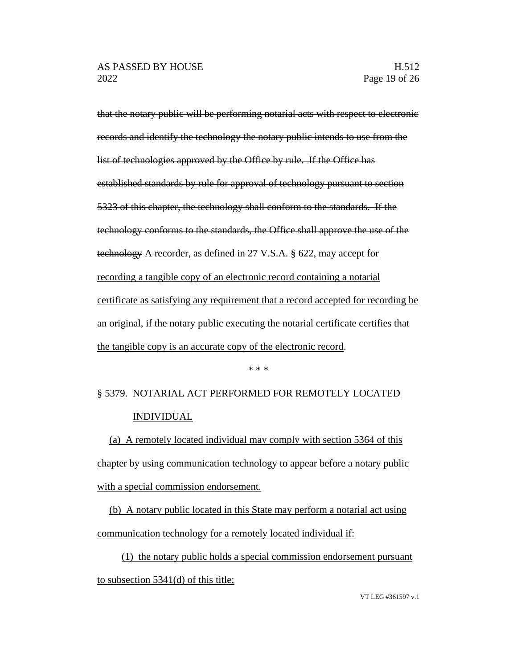that the notary public will be performing notarial acts with respect to electronic records and identify the technology the notary public intends to use from the list of technologies approved by the Office by rule. If the Office has established standards by rule for approval of technology pursuant to section 5323 of this chapter, the technology shall conform to the standards. If the technology conforms to the standards, the Office shall approve the use of the technology A recorder, as defined in 27 V.S.A. § 622, may accept for recording a tangible copy of an electronic record containing a notarial certificate as satisfying any requirement that a record accepted for recording be an original, if the notary public executing the notarial certificate certifies that the tangible copy is an accurate copy of the electronic record.

#### \* \* \*

# § 5379. NOTARIAL ACT PERFORMED FOR REMOTELY LOCATED INDIVIDUAL

(a) A remotely located individual may comply with section 5364 of this chapter by using communication technology to appear before a notary public with a special commission endorsement.

(b) A notary public located in this State may perform a notarial act using communication technology for a remotely located individual if:

(1) the notary public holds a special commission endorsement pursuant to subsection 5341(d) of this title;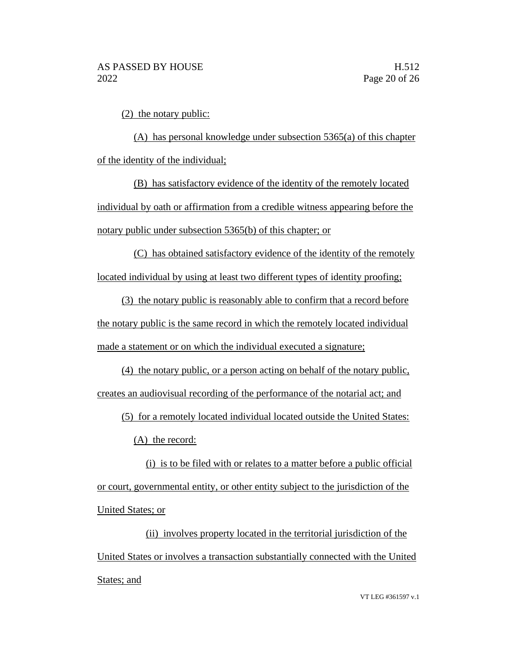(2) the notary public:

(A) has personal knowledge under subsection 5365(a) of this chapter of the identity of the individual;

(B) has satisfactory evidence of the identity of the remotely located individual by oath or affirmation from a credible witness appearing before the notary public under subsection 5365(b) of this chapter; or

(C) has obtained satisfactory evidence of the identity of the remotely located individual by using at least two different types of identity proofing;

(3) the notary public is reasonably able to confirm that a record before the notary public is the same record in which the remotely located individual made a statement or on which the individual executed a signature;

(4) the notary public, or a person acting on behalf of the notary public, creates an audiovisual recording of the performance of the notarial act; and

(5) for a remotely located individual located outside the United States:

(A) the record:

(i) is to be filed with or relates to a matter before a public official or court, governmental entity, or other entity subject to the jurisdiction of the United States; or

(ii) involves property located in the territorial jurisdiction of the United States or involves a transaction substantially connected with the United States; and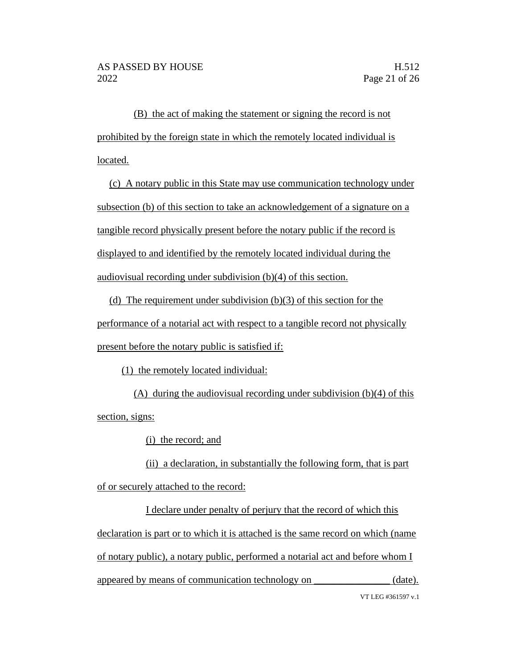(B) the act of making the statement or signing the record is not prohibited by the foreign state in which the remotely located individual is located.

(c) A notary public in this State may use communication technology under subsection (b) of this section to take an acknowledgement of a signature on a tangible record physically present before the notary public if the record is displayed to and identified by the remotely located individual during the audiovisual recording under subdivision (b)(4) of this section.

(d) The requirement under subdivision (b)(3) of this section for the performance of a notarial act with respect to a tangible record not physically present before the notary public is satisfied if:

(1) the remotely located individual:

(A) during the audiovisual recording under subdivision (b)(4) of this section, signs:

(i) the record; and

(ii) a declaration, in substantially the following form, that is part of or securely attached to the record:

VT LEG #361597 v.1 I declare under penalty of perjury that the record of which this declaration is part or to which it is attached is the same record on which (name of notary public), a notary public, performed a notarial act and before whom I appeared by means of communication technology on \_\_\_\_\_\_\_\_\_\_\_\_\_\_\_ (date).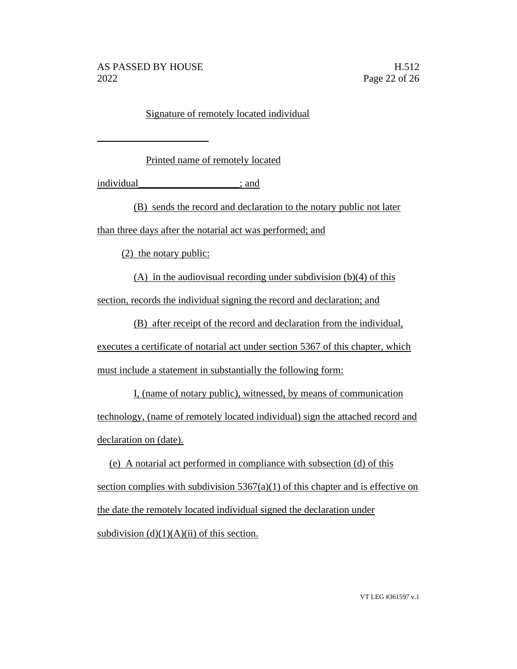$\_$ 

## Signature of remotely located individual

Printed name of remotely located

individual individual individual individual individual individual individual individual individual individual individual individual individual individual individual individual individual individual individual individual in

(B) sends the record and declaration to the notary public not later than three days after the notarial act was performed; and

(2) the notary public:

(A) in the audiovisual recording under subdivision (b)(4) of this section, records the individual signing the record and declaration; and

(B) after receipt of the record and declaration from the individual,

executes a certificate of notarial act under section 5367 of this chapter, which must include a statement in substantially the following form:

I, (name of notary public), witnessed, by means of communication technology, (name of remotely located individual) sign the attached record and declaration on (date).

(e) A notarial act performed in compliance with subsection (d) of this section complies with subdivision  $5367(a)(1)$  of this chapter and is effective on the date the remotely located individual signed the declaration under subdivision  $(d)(1)(A)(ii)$  of this section.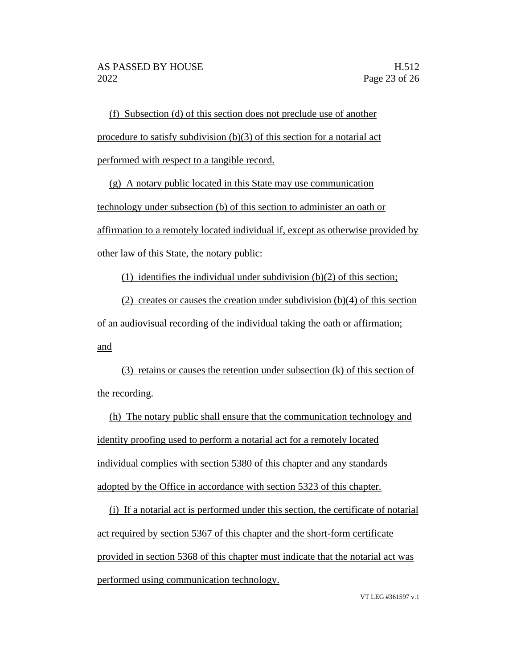(f) Subsection (d) of this section does not preclude use of another procedure to satisfy subdivision (b)(3) of this section for a notarial act performed with respect to a tangible record.

(g) A notary public located in this State may use communication technology under subsection (b) of this section to administer an oath or affirmation to a remotely located individual if, except as otherwise provided by other law of this State, the notary public:

(1) identifies the individual under subdivision  $(b)(2)$  of this section;

(2) creates or causes the creation under subdivision (b)(4) of this section of an audiovisual recording of the individual taking the oath or affirmation; and

(3) retains or causes the retention under subsection (k) of this section of the recording.

(h) The notary public shall ensure that the communication technology and identity proofing used to perform a notarial act for a remotely located individual complies with section 5380 of this chapter and any standards adopted by the Office in accordance with section 5323 of this chapter.

(i) If a notarial act is performed under this section, the certificate of notarial act required by section 5367 of this chapter and the short-form certificate provided in section 5368 of this chapter must indicate that the notarial act was performed using communication technology.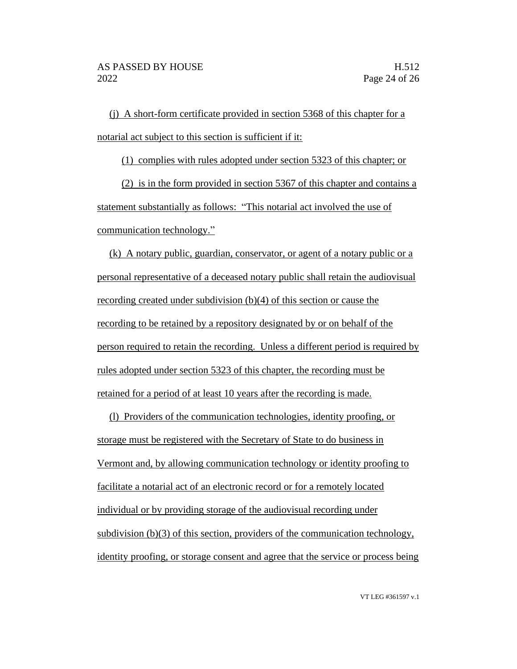(j) A short-form certificate provided in section 5368 of this chapter for a notarial act subject to this section is sufficient if it:

(1) complies with rules adopted under section 5323 of this chapter; or

(2) is in the form provided in section 5367 of this chapter and contains a statement substantially as follows: "This notarial act involved the use of communication technology."

(k) A notary public, guardian, conservator, or agent of a notary public or a personal representative of a deceased notary public shall retain the audiovisual recording created under subdivision (b)(4) of this section or cause the recording to be retained by a repository designated by or on behalf of the person required to retain the recording. Unless a different period is required by rules adopted under section 5323 of this chapter, the recording must be retained for a period of at least 10 years after the recording is made.

(l) Providers of the communication technologies, identity proofing, or storage must be registered with the Secretary of State to do business in Vermont and, by allowing communication technology or identity proofing to facilitate a notarial act of an electronic record or for a remotely located individual or by providing storage of the audiovisual recording under subdivision (b)(3) of this section, providers of the communication technology, identity proofing, or storage consent and agree that the service or process being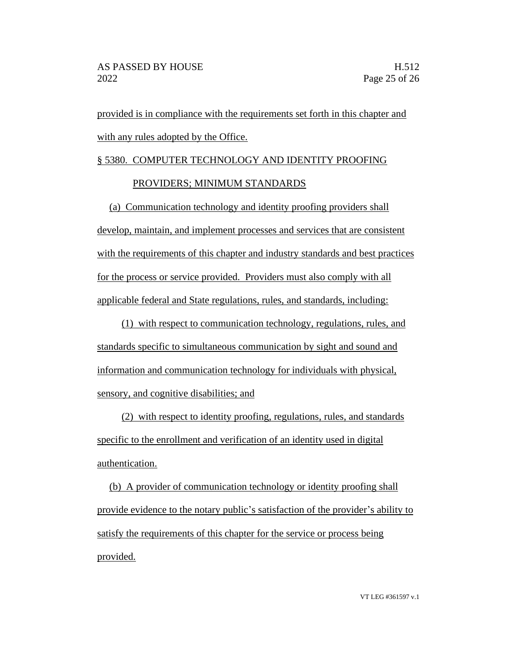provided is in compliance with the requirements set forth in this chapter and with any rules adopted by the Office.

### § 5380. COMPUTER TECHNOLOGY AND IDENTITY PROOFING

### PROVIDERS; MINIMUM STANDARDS

(a) Communication technology and identity proofing providers shall develop, maintain, and implement processes and services that are consistent with the requirements of this chapter and industry standards and best practices for the process or service provided. Providers must also comply with all applicable federal and State regulations, rules, and standards, including:

(1) with respect to communication technology, regulations, rules, and standards specific to simultaneous communication by sight and sound and information and communication technology for individuals with physical, sensory, and cognitive disabilities; and

(2) with respect to identity proofing, regulations, rules, and standards specific to the enrollment and verification of an identity used in digital authentication.

(b) A provider of communication technology or identity proofing shall provide evidence to the notary public's satisfaction of the provider's ability to satisfy the requirements of this chapter for the service or process being provided.